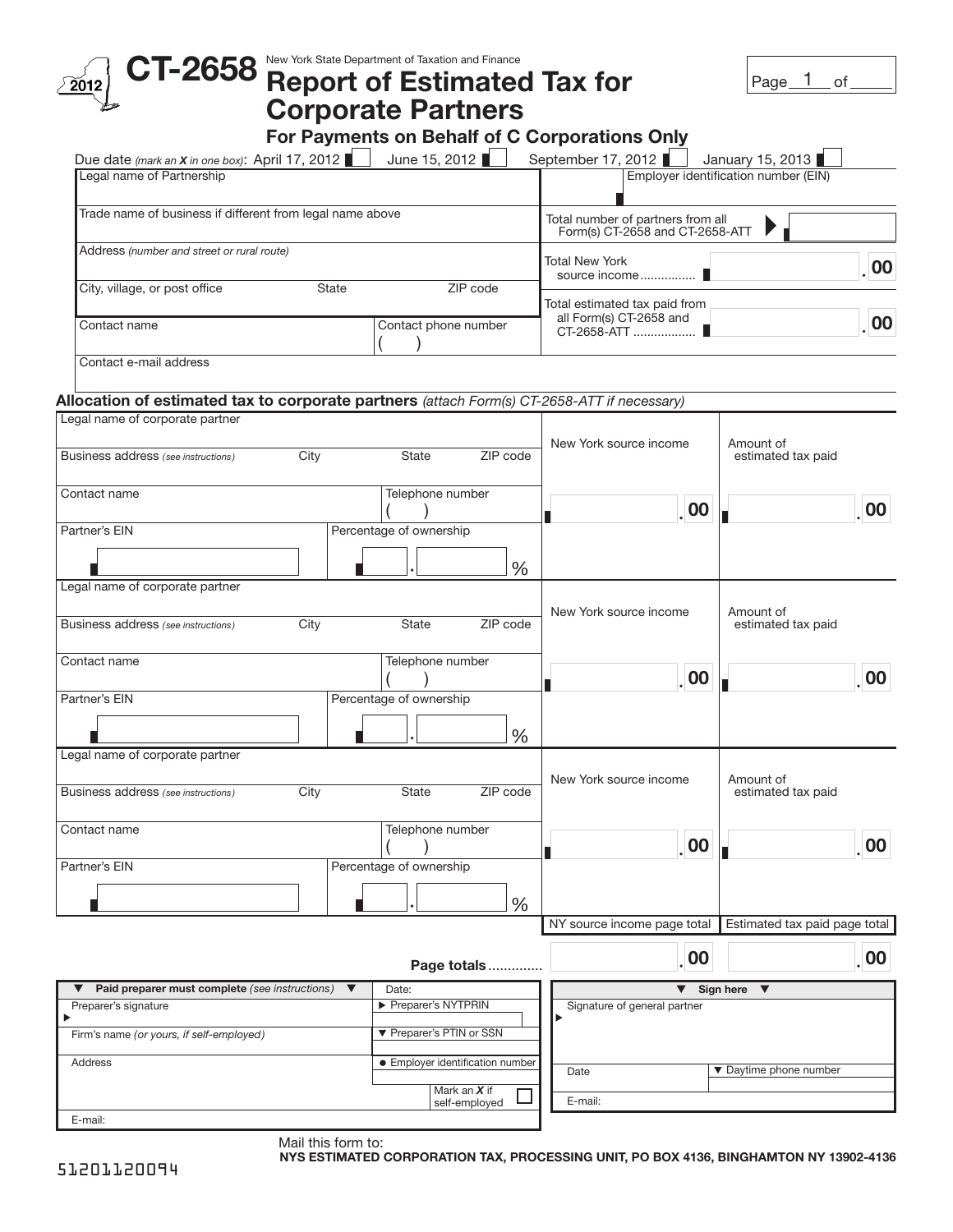| $\text{CT-2658}$ New York State Department of Taxation and Finance $\text{C}$               |                      |                                                                      |                                      |                                               | Page $1$<br>of                  |
|---------------------------------------------------------------------------------------------|----------------------|----------------------------------------------------------------------|--------------------------------------|-----------------------------------------------|---------------------------------|
|                                                                                             |                      | <b>Corporate Partners</b>                                            |                                      |                                               |                                 |
|                                                                                             |                      |                                                                      |                                      | For Payments on Behalf of C Corporations Only |                                 |
| Due date (mark an X in one box): April 17, 2012                                             |                      | June 15, 2012                                                        |                                      | September 17, 2012                            | January 15, 2013                |
| Legal name of Partnership                                                                   |                      | Employer identification number (EIN)                                 |                                      |                                               |                                 |
| Trade name of business if different from legal name above                                   |                      | Total number of partners from all<br>Form(s) CT-2658 and CT-2658-ATT |                                      |                                               |                                 |
| Address (number and street or rural route)                                                  |                      | Total New York<br>00<br>source income                                |                                      |                                               |                                 |
| City, village, or post office                                                               | State                |                                                                      | ZIP code                             | Total estimated tax paid from                 |                                 |
| Contact name                                                                                |                      | Contact phone number                                                 |                                      | all Form(s) CT-2658 and<br>CT-2658-ATT  ■     | 00                              |
| Contact e-mail address                                                                      |                      |                                                                      |                                      |                                               |                                 |
| Allocation of estimated tax to corporate partners (attach Form(s) CT-2658-ATT if necessary) |                      |                                                                      |                                      |                                               |                                 |
| Legal name of corporate partner                                                             |                      |                                                                      |                                      |                                               |                                 |
| Business address (see instructions)                                                         | City                 | State                                                                | ZIP code                             | New York source income                        | Amount of<br>estimated tax paid |
| Contact name                                                                                |                      | Telephone number                                                     |                                      | 00                                            | 00                              |
| Partner's EIN                                                                               |                      | Percentage of ownership                                              |                                      |                                               |                                 |
|                                                                                             |                      |                                                                      | $\frac{0}{0}$                        |                                               |                                 |
| Legal name of corporate partner                                                             |                      |                                                                      |                                      |                                               |                                 |
| Business address (see instructions)                                                         | City                 | State                                                                | ZIP code                             | New York source income                        | Amount of<br>estimated tax paid |
| Contact name                                                                                |                      | Telephone number                                                     |                                      | 00                                            | 00                              |
| Partner's EIN                                                                               |                      | Percentage of ownership                                              |                                      |                                               |                                 |
| Legal name of corporate partner                                                             |                      |                                                                      | $\%$                                 |                                               |                                 |
|                                                                                             |                      |                                                                      |                                      | New York source income                        | Amount of                       |
| Business address (see instructions)                                                         | City                 | State                                                                | ZIP code                             |                                               | estimated tax paid              |
| Contact name                                                                                |                      | Telephone number                                                     |                                      | $\overline{\phantom{0}}$ 00                   | 00                              |
| Partner's EIN                                                                               |                      | Percentage of ownership                                              |                                      |                                               |                                 |
|                                                                                             |                      |                                                                      | %                                    |                                               |                                 |
|                                                                                             |                      |                                                                      |                                      | NY source income page total                   | Estimated tax paid page total   |
|                                                                                             |                      |                                                                      | Page totals                          | 00                                            | $\overline{\phantom{0}}$ 00     |
| Paid preparer must complete (see instructions)                                              | $\blacktriangledown$ | ▼                                                                    | Sign here<br>$\overline{\mathbf{v}}$ |                                               |                                 |
| Preparer's signature                                                                        |                      | Preparer's NYTPRIN                                                   |                                      | Signature of general partner                  |                                 |
| Firm's name (or yours, if self-employed)                                                    |                      | ▼ Preparer's PTIN or SSN                                             |                                      |                                               |                                 |
| Address                                                                                     |                      | • Employer identification number                                     |                                      | Date                                          | ▼ Daytime phone number          |
|                                                                                             |                      |                                                                      | Mark an X if<br>self-employed        | E-mail:                                       |                                 |
| E-mail:                                                                                     |                      |                                                                      |                                      |                                               |                                 |

Mail this form to: